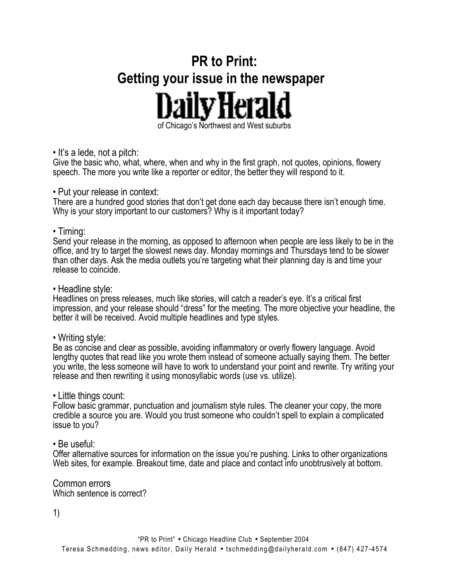# **PR to Print: Getting your issue in the newspaper**  DailvHera of Chicago's Northwest and West suburbs

#### • It's a lede, not a pitch:

Give the basic who, what, where, when and why in the first graph, not quotes, opinions, flowery speech. The more you write like a reporter or editor, the better they will respond to it.

#### • Put your release in context:

There are a hundred good stories that don't get done each day because there isn't enough time. Why is your story important to our customers? Why is it important today?

## • Timing:

Send your release in the morning, as opposed to afternoon when people are less likely to be in the office, and try to target the slowest news day. Monday mornings and Thursdays tend to be slower than other days. Ask the media outlets you're targeting what their planning day is and time your release to coincide.

• Headline style:

Headlines on press releases, much like stories, will catch a reader's eye. It's a critical first impression, and your release should "dress" for the meeting. The more objective your headline, the better it will be received. Avoid multiple headlines and type styles.

• Writing style:

Be as concise and clear as possible, avoiding inflammatory or overly flowery language. Avoid lengthy quotes that read like you wrote them instead of someone actually saying them. The better you write, the less someone will have to work to understand your point and rewrite. Try writing your release and then rewriting it using monosyllabic words (use vs. utilize).

## • Little things count:

Follow basic grammar, punctuation and journalism style rules. The cleaner your copy, the more credible a source you are. Would you trust someone who couldn't spell to explain a complicated issue to you?

## • Be useful:

Offer alternative sources for information on the issue you're pushing. Links to other organizations Web sites, for example. Breakout time, date and place and contact info unobtrusively at bottom.

Common errors Which sentence is correct?

1)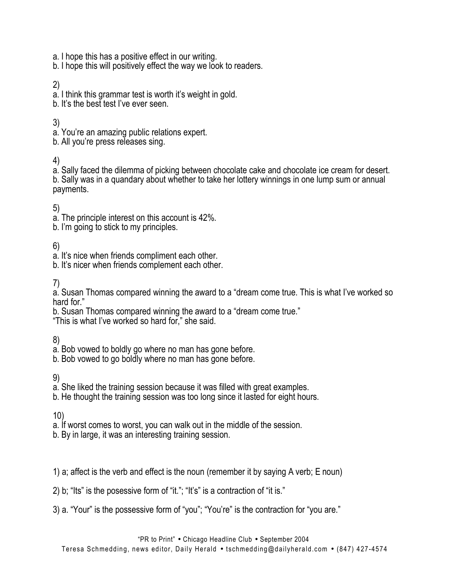- a. I hope this has a positive effect in our writing.
- b. I hope this will positively effect the way we look to readers.

## 2)

- a. I think this grammar test is worth it's weight in gold.
- b. It's the best test I've ever seen.

## 3)

- a. You're an amazing public relations expert.
- b. All you're press releases sing.

# 4)

a. Sally faced the dilemma of picking between chocolate cake and chocolate ice cream for desert. b. Sally was in a quandary about whether to take her lottery winnings in one lump sum or annual payments.

5)

- a. The principle interest on this account is 42%.
- b. I'm going to stick to my principles.

6)

- a. It's nice when friends compliment each other.
- b. It's nicer when friends complement each other.

7)

a. Susan Thomas compared winning the award to a "dream come true. This is what I've worked so hard for."

b. Susan Thomas compared winning the award to a "dream come true." "This is what I've worked so hard for," she said.

8)

- a. Bob vowed to boldly go where no man has gone before.
- b. Bob vowed to go boldly where no man has gone before.

9)

- a. She liked the training session because it was filled with great examples.
- b. He thought the training session was too long since it lasted for eight hours.

10)

- a. If worst comes to worst, you can walk out in the middle of the session.
- b. By in large, it was an interesting training session.

1) a; affect is the verb and effect is the noun (remember it by saying A verb; E noun)

- 2) b; "Its" is the posessive form of "it."; "It's" is a contraction of "it is."
- 3) a. "Your" is the possessive form of "you"; "You're" is the contraction for "you are."